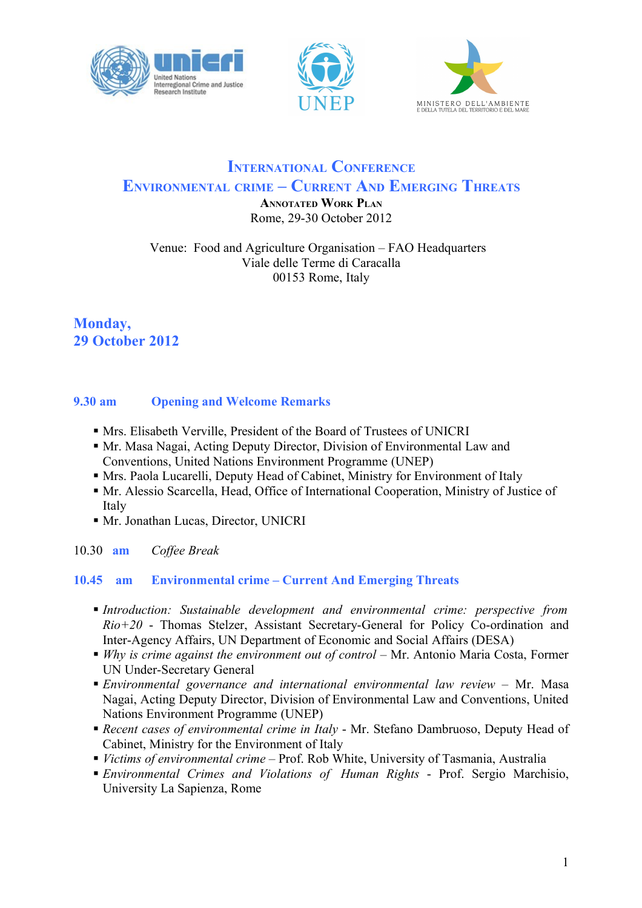





# **INTERNATIONAL CONFERENCE ENVIRONMENTAL CRIME – CURRENT AND EMERGING THREATS**

**ANNOTATED WORK PLAN** Rome, 29-30 October 2012

Venue: Food and Agriculture Organisation – FAO Headquarters Viale delle Terme di Caracalla 00153 Rome, Italy

## **Monday, 29 October 2012**

### **9.30 am Opening and Welcome Remarks**

- Mrs. Elisabeth Verville, President of the Board of Trustees of UNICRI
- Mr. Masa Nagai, Acting Deputy Director, Division of Environmental Law and Conventions, United Nations Environment Programme (UNEP)
- Mrs. Paola Lucarelli, Deputy Head of Cabinet, Ministry for Environment of Italy
- Mr. Alessio Scarcella, Head, Office of International Cooperation, Ministry of Justice of **Italy**
- Mr. Jonathan Lucas, Director, UNICRI
- 10.30 **am** *Coffee Break*

## **10.45 am Environmental crime – Current And Emerging Threats**

- *Introduction: Sustainable development and environmental crime: perspective from Rio+20* - Thomas Stelzer, Assistant Secretary-General for Policy Co-ordination and Inter-Agency Affairs, UN Department of Economic and Social Affairs (DESA)
- *Why is crime against the environment out of control* Mr. Antonio Maria Costa, Former UN Under-Secretary General
- *Environmental governance and international environmental law review* Mr. Masa Nagai, Acting Deputy Director, Division of Environmental Law and Conventions, United Nations Environment Programme (UNEP)
- *Recent cases of environmental crime in Italy* Mr. Stefano Dambruoso, Deputy Head of Cabinet, Ministry for the Environment of Italy
- *Victims of environmental crime* Prof. Rob White, University of Tasmania, Australia
- *Environmental Crimes and Violations of Human Rights*  Prof. Sergio Marchisio, University La Sapienza, Rome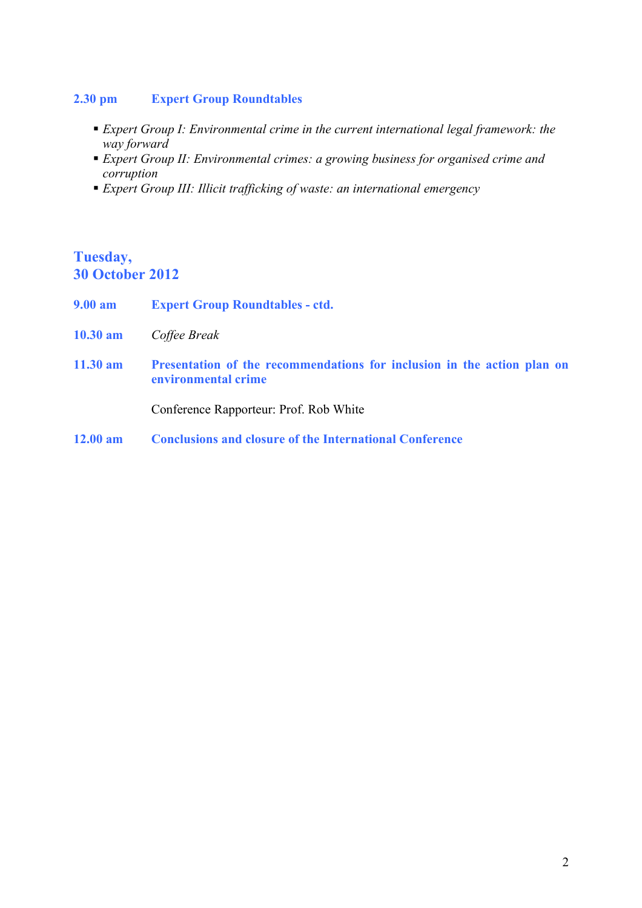#### **2.30 pm Expert Group Roundtables**

- *Expert Group I: Environmental crime in the current international legal framework: the way forward*
- *Expert Group II: Environmental crimes: a growing business for organised crime and corruption*
- *Expert Group III: Illicit trafficking of waste: an international emergency*

## **Tuesday, 30 October 2012**

- **9.00 am Expert Group Roundtables - ctd.**
- **10.30 am** *Coffee Break*
- **11.30 am Presentation of the recommendations for inclusion in the action plan on environmental crime**

Conference Rapporteur: Prof. Rob White

**12.00 am Conclusions and closure of the International Conference**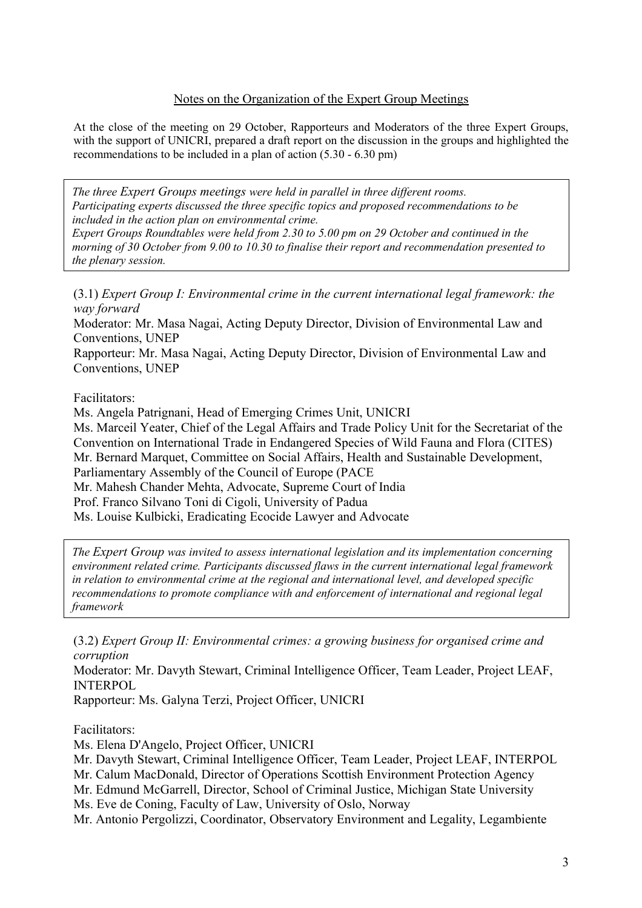#### Notes on the Organization of the Expert Group Meetings

At the close of the meeting on 29 October, Rapporteurs and Moderators of the three Expert Groups, with the support of UNICRI, prepared a draft report on the discussion in the groups and highlighted the recommendations to be included in a plan of action (5.30 - 6.30 pm)

*The three Expert Groups meetings were held in parallel in three different rooms. Participating experts discussed the three specific topics and proposed recommendations to be included in the action plan on environmental crime.*

*Expert Groups Roundtables were held from 2.30 to 5.00 pm on 29 October and continued in the morning of 30 October from 9.00 to 10.30 to finalise their report and recommendation presented to the plenary session.*

(3.1) *Expert Group I: Environmental crime in the current international legal framework: the way forward*

Moderator: Mr. Masa Nagai, Acting Deputy Director, Division of Environmental Law and Conventions, UNEP

Rapporteur: Mr. Masa Nagai, Acting Deputy Director, Division of Environmental Law and Conventions, UNEP

#### Facilitators:

Ms. Angela Patrignani, Head of Emerging Crimes Unit, UNICRI Ms. Marceil Yeater, Chief of the Legal Affairs and Trade Policy Unit for the Secretariat of the Convention on International Trade in Endangered Species of Wild Fauna and Flora (CITES) Mr. Bernard Marquet, Committee on Social Affairs, Health and Sustainable Development, Parliamentary Assembly of the Council of Europe (PACE Mr. Mahesh Chander Mehta, Advocate, Supreme Court of India Prof. Franco Silvano Toni di Cigoli, University of Padua Ms. Louise Kulbicki, Eradicating Ecocide Lawyer and Advocate

*The Expert Group was invited to assess international legislation and its implementation concerning environment related crime. Participants discussed flaws in the current international legal framework in relation to environmental crime at the regional and international level, and developed specific recommendations to promote compliance with and enforcement of international and regional legal framework* 

(3.2) *Expert Group II: Environmental crimes: a growing business for organised crime and corruption*

Moderator: Mr. Davyth Stewart, Criminal Intelligence Officer, Team Leader, Project LEAF, INTERPOL

Rapporteur: Ms. Galyna Terzi, Project Officer, UNICRI

#### Facilitators:

Ms. Elena D'Angelo, Project Officer, UNICRI

Mr. Davyth Stewart, Criminal Intelligence Officer, Team Leader, Project LEAF, INTERPOL

Mr. Calum MacDonald, Director of Operations Scottish Environment Protection Agency

Mr. Edmund McGarrell, Director, School of Criminal Justice, Michigan State University

Ms. Eve de Coning, Faculty of Law, University of Oslo, Norway

Mr. Antonio Pergolizzi, Coordinator, Observatory Environment and Legality, Legambiente